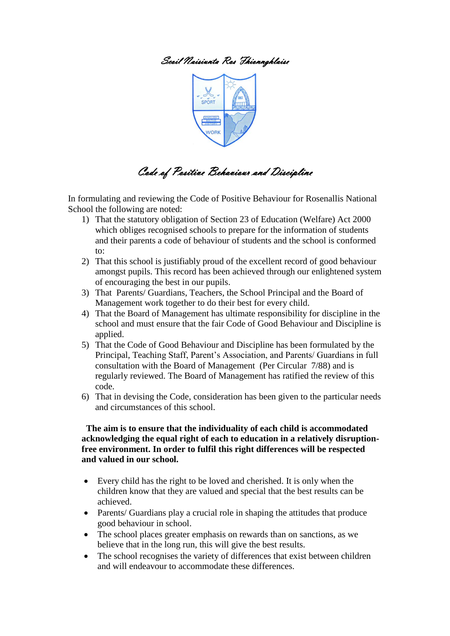## Scoil Naisiunta Ros Fhionnghlaise



# Code of Positive Behaviour and Discipline

In formulating and reviewing the Code of Positive Behaviour for Rosenallis National School the following are noted:

- 1) That the statutory obligation of Section 23 of Education (Welfare) Act 2000 which obliges recognised schools to prepare for the information of students and their parents a code of behaviour of students and the school is conformed to:
- 2) That this school is justifiably proud of the excellent record of good behaviour amongst pupils. This record has been achieved through our enlightened system of encouraging the best in our pupils.
- 3) That Parents/ Guardians, Teachers, the School Principal and the Board of Management work together to do their best for every child.
- 4) That the Board of Management has ultimate responsibility for discipline in the school and must ensure that the fair Code of Good Behaviour and Discipline is applied.
- 5) That the Code of Good Behaviour and Discipline has been formulated by the Principal, Teaching Staff, Parent's Association, and Parents/ Guardians in full consultation with the Board of Management (Per Circular 7/88) and is regularly reviewed. The Board of Management has ratified the review of this code.
- 6) That in devising the Code, consideration has been given to the particular needs and circumstances of this school.

#### **The aim is to ensure that the individuality of each child is accommodated acknowledging the equal right of each to education in a relatively disruptionfree environment. In order to fulfil this right differences will be respected and valued in our school.**

- Every child has the right to be loved and cherished. It is only when the children know that they are valued and special that the best results can be achieved.
- Parents/ Guardians play a crucial role in shaping the attitudes that produce good behaviour in school.
- The school places greater emphasis on rewards than on sanctions, as we believe that in the long run, this will give the best results.
- The school recognises the variety of differences that exist between children and will endeavour to accommodate these differences.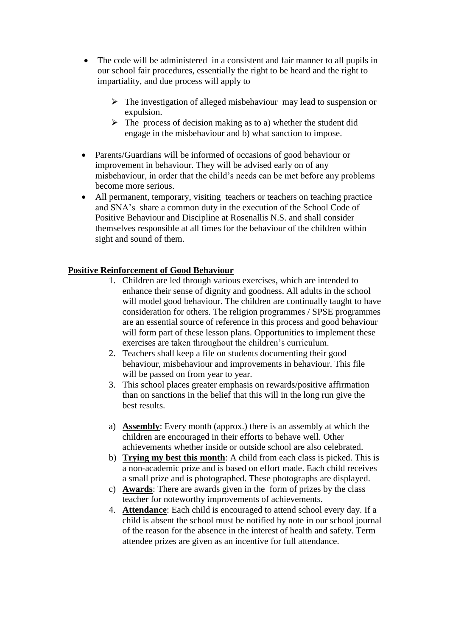- The code will be administered in a consistent and fair manner to all pupils in our school fair procedures, essentially the right to be heard and the right to impartiality, and due process will apply to
	- $\triangleright$  The investigation of alleged misbehaviour may lead to suspension or expulsion.
	- $\triangleright$  The process of decision making as to a) whether the student did engage in the misbehaviour and b) what sanction to impose.
- Parents/Guardians will be informed of occasions of good behaviour or improvement in behaviour. They will be advised early on of any misbehaviour, in order that the child's needs can be met before any problems become more serious.
- All permanent, temporary, visiting teachers or teachers on teaching practice and SNA's share a common duty in the execution of the School Code of Positive Behaviour and Discipline at Rosenallis N.S. and shall consider themselves responsible at all times for the behaviour of the children within sight and sound of them.

## **Positive Reinforcement of Good Behaviour**

- 1. Children are led through various exercises, which are intended to enhance their sense of dignity and goodness. All adults in the school will model good behaviour. The children are continually taught to have consideration for others. The religion programmes / SPSE programmes are an essential source of reference in this process and good behaviour will form part of these lesson plans. Opportunities to implement these exercises are taken throughout the children's curriculum.
- 2. Teachers shall keep a file on students documenting their good behaviour, misbehaviour and improvements in behaviour. This file will be passed on from year to year.
- 3. This school places greater emphasis on rewards/positive affirmation than on sanctions in the belief that this will in the long run give the best results.
- a) **Assembly**: Every month (approx.) there is an assembly at which the children are encouraged in their efforts to behave well. Other achievements whether inside or outside school are also celebrated.
- b) **Trying my best this month**: A child from each class is picked. This is a non-academic prize and is based on effort made. Each child receives a small prize and is photographed. These photographs are displayed.
- c) **Awards**: There are awards given in the form of prizes by the class teacher for noteworthy improvements of achievements.
- 4. **Attendance**: Each child is encouraged to attend school every day. If a child is absent the school must be notified by note in our school journal of the reason for the absence in the interest of health and safety. Term attendee prizes are given as an incentive for full attendance.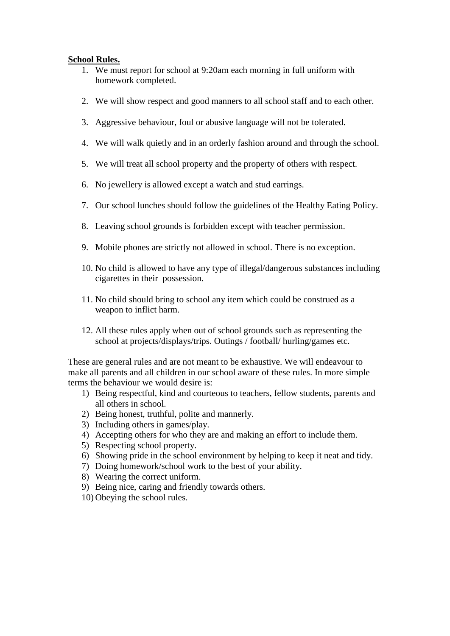#### **School Rules.**

- 1. We must report for school at 9:20am each morning in full uniform with homework completed.
- 2. We will show respect and good manners to all school staff and to each other.
- 3. Aggressive behaviour, foul or abusive language will not be tolerated.
- 4. We will walk quietly and in an orderly fashion around and through the school.
- 5. We will treat all school property and the property of others with respect.
- 6. No jewellery is allowed except a watch and stud earrings.
- 7. Our school lunches should follow the guidelines of the Healthy Eating Policy.
- 8. Leaving school grounds is forbidden except with teacher permission.
- 9. Mobile phones are strictly not allowed in school. There is no exception.
- 10. No child is allowed to have any type of illegal/dangerous substances including cigarettes in their possession.
- 11. No child should bring to school any item which could be construed as a weapon to inflict harm.
- 12. All these rules apply when out of school grounds such as representing the school at projects/displays/trips. Outings / football/ hurling/games etc.

These are general rules and are not meant to be exhaustive. We will endeavour to make all parents and all children in our school aware of these rules. In more simple terms the behaviour we would desire is:

- 1) Being respectful, kind and courteous to teachers, fellow students, parents and all others in school.
- 2) Being honest, truthful, polite and mannerly.
- 3) Including others in games/play.
- 4) Accepting others for who they are and making an effort to include them.
- 5) Respecting school property.
- 6) Showing pride in the school environment by helping to keep it neat and tidy.
- 7) Doing homework/school work to the best of your ability.
- 8) Wearing the correct uniform.
- 9) Being nice, caring and friendly towards others.
- 10) Obeying the school rules.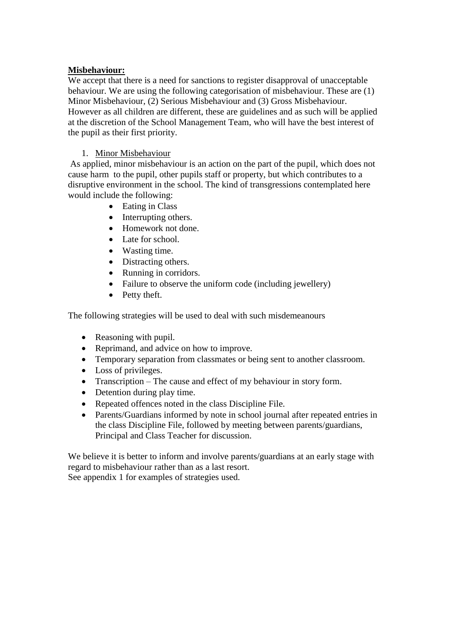## **Misbehaviour:**

We accept that there is a need for sanctions to register disapproval of unacceptable behaviour. We are using the following categorisation of misbehaviour. These are (1) Minor Misbehaviour, (2) Serious Misbehaviour and (3) Gross Misbehaviour. However as all children are different, these are guidelines and as such will be applied at the discretion of the School Management Team, who will have the best interest of the pupil as their first priority.

#### 1. Minor Misbehaviour

As applied, minor misbehaviour is an action on the part of the pupil, which does not cause harm to the pupil, other pupils staff or property, but which contributes to a disruptive environment in the school. The kind of transgressions contemplated here would include the following:

- Eating in Class
- Interrupting others.
- Homework not done.
- Late for school.
- Wasting time.
- Distracting others.
- Running in corridors.
- Failure to observe the uniform code (including jewellery)
- Petty theft.

The following strategies will be used to deal with such misdemeanours

- Reasoning with pupil.
- Reprimand, and advice on how to improve.
- Temporary separation from classmates or being sent to another classroom.
- Loss of privileges.
- Transcription The cause and effect of my behaviour in story form.
- Detention during play time.
- Repeated offences noted in the class Discipline File.
- Parents/Guardians informed by note in school journal after repeated entries in the class Discipline File, followed by meeting between parents/guardians, Principal and Class Teacher for discussion.

We believe it is better to inform and involve parents/guardians at an early stage with regard to misbehaviour rather than as a last resort.

See appendix 1 for examples of strategies used.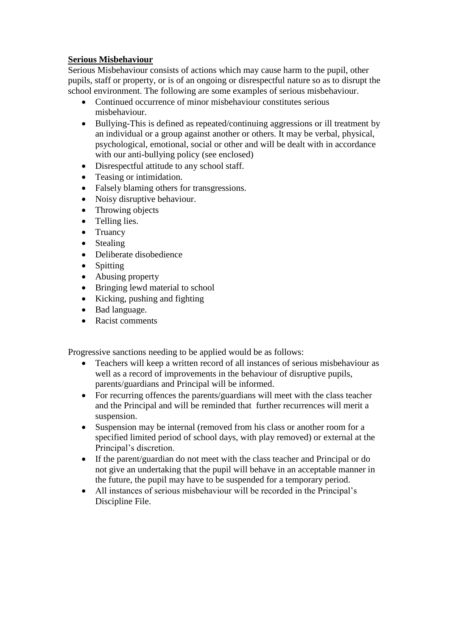## **Serious Misbehaviour**

Serious Misbehaviour consists of actions which may cause harm to the pupil, other pupils, staff or property, or is of an ongoing or disrespectful nature so as to disrupt the school environment. The following are some examples of serious misbehaviour.

- Continued occurrence of minor misbehaviour constitutes serious misbehaviour.
- Bullying-This is defined as repeated/continuing aggressions or ill treatment by an individual or a group against another or others. It may be verbal, physical, psychological, emotional, social or other and will be dealt with in accordance with our anti-bullying policy (see enclosed)
- Disrespectful attitude to any school staff.
- Teasing or intimidation.
- Falsely blaming others for transgressions.
- Noisy disruptive behaviour.
- Throwing objects
- Telling lies.
- Truancy
- Stealing
- Deliberate disobedience
- Spitting
- Abusing property
- Bringing lewd material to school
- $\bullet$  Kicking, pushing and fighting
- Bad language.
- Racist comments

Progressive sanctions needing to be applied would be as follows:

- Teachers will keep a written record of all instances of serious misbehaviour as well as a record of improvements in the behaviour of disruptive pupils, parents/guardians and Principal will be informed.
- For recurring offences the parents/guardians will meet with the class teacher and the Principal and will be reminded that further recurrences will merit a suspension.
- Suspension may be internal (removed from his class or another room for a specified limited period of school days, with play removed) or external at the Principal's discretion.
- If the parent/guardian do not meet with the class teacher and Principal or do not give an undertaking that the pupil will behave in an acceptable manner in the future, the pupil may have to be suspended for a temporary period.
- All instances of serious misbehaviour will be recorded in the Principal's Discipline File.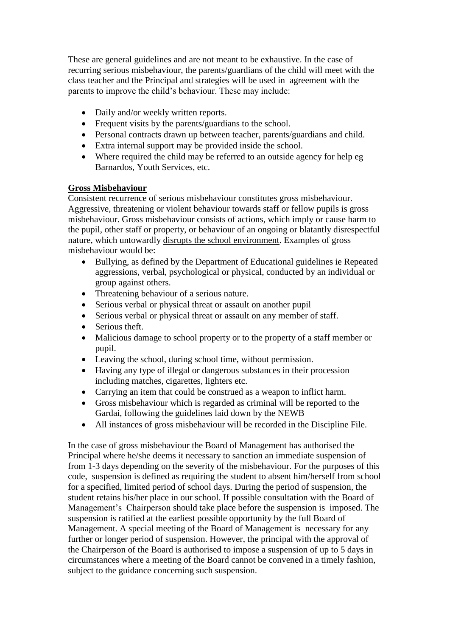These are general guidelines and are not meant to be exhaustive. In the case of recurring serious misbehaviour, the parents/guardians of the child will meet with the class teacher and the Principal and strategies will be used in agreement with the parents to improve the child's behaviour. These may include:

- Daily and/or weekly written reports.
- Frequent visits by the parents/guardians to the school.
- Personal contracts drawn up between teacher, parents/guardians and child.
- Extra internal support may be provided inside the school.
- Where required the child may be referred to an outside agency for help eg Barnardos, Youth Services, etc.

## **Gross Misbehaviour**

Consistent recurrence of serious misbehaviour constitutes gross misbehaviour. Aggressive, threatening or violent behaviour towards staff or fellow pupils is gross misbehaviour. Gross misbehaviour consists of actions, which imply or cause harm to the pupil, other staff or property, or behaviour of an ongoing or blatantly disrespectful nature, which untowardly disrupts the school environment. Examples of gross misbehaviour would be:

- Bullying, as defined by the Department of Educational guidelines ie Repeated aggressions, verbal, psychological or physical, conducted by an individual or group against others.
- Threatening behaviour of a serious nature.
- Serious verbal or physical threat or assault on another pupil
- Serious verbal or physical threat or assault on any member of staff.
- Serious theft.
- Malicious damage to school property or to the property of a staff member or pupil.
- Leaving the school, during school time, without permission.
- Having any type of illegal or dangerous substances in their procession including matches, cigarettes, lighters etc.
- Carrying an item that could be construed as a weapon to inflict harm.
- Gross misbehaviour which is regarded as criminal will be reported to the Gardai, following the guidelines laid down by the NEWB
- All instances of gross misbehaviour will be recorded in the Discipline File.

In the case of gross misbehaviour the Board of Management has authorised the Principal where he/she deems it necessary to sanction an immediate suspension of from 1-3 days depending on the severity of the misbehaviour. For the purposes of this code, suspension is defined as requiring the student to absent him/herself from school for a specified, limited period of school days. During the period of suspension, the student retains his/her place in our school. If possible consultation with the Board of Management's Chairperson should take place before the suspension is imposed. The suspension is ratified at the earliest possible opportunity by the full Board of Management. A special meeting of the Board of Management is necessary for any further or longer period of suspension. However, the principal with the approval of the Chairperson of the Board is authorised to impose a suspension of up to 5 days in circumstances where a meeting of the Board cannot be convened in a timely fashion, subject to the guidance concerning such suspension.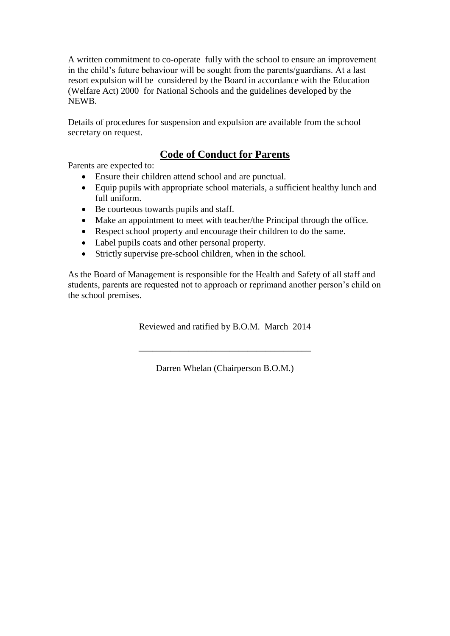A written commitment to co-operate fully with the school to ensure an improvement in the child's future behaviour will be sought from the parents/guardians. At a last resort expulsion will be considered by the Board in accordance with the Education (Welfare Act) 2000 for National Schools and the guidelines developed by the NEWB.

Details of procedures for suspension and expulsion are available from the school secretary on request.

## **Code of Conduct for Parents**

Parents are expected to:

- Ensure their children attend school and are punctual.
- Equip pupils with appropriate school materials, a sufficient healthy lunch and full uniform.
- Be courteous towards pupils and staff.
- Make an appointment to meet with teacher/the Principal through the office.
- Respect school property and encourage their children to do the same.
- Label pupils coats and other personal property.
- Strictly supervise pre-school children, when in the school.

As the Board of Management is responsible for the Health and Safety of all staff and students, parents are requested not to approach or reprimand another person's child on the school premises.

Reviewed and ratified by B.O.M. March 2014

Darren Whelan (Chairperson B.O.M.)

\_\_\_\_\_\_\_\_\_\_\_\_\_\_\_\_\_\_\_\_\_\_\_\_\_\_\_\_\_\_\_\_\_\_\_\_\_\_